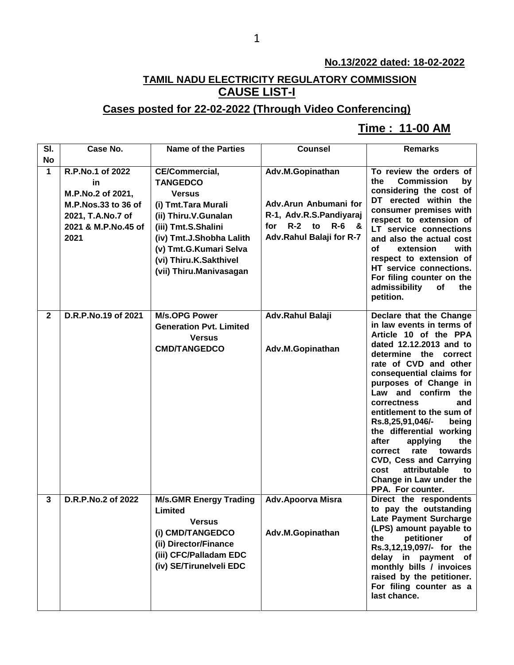#### **No.13/2022 dated: 18-02-2022**

## **TAMIL NADU ELECTRICITY REGULATORY COMMISSION CAUSE LIST-I**

### **Cases posted for 22-02-2022 (Through Video Conferencing)**

#### **Time : 11-00 AM[**

| SI.          | Case No.                                                                                                               | <b>Name of the Parties</b>                                                                                                                                                                                                           | <b>Counsel</b>                                                                                                                   | <b>Remarks</b>                                                                                                                                                                                                                                                                                                                                                                                                                                                                                                              |
|--------------|------------------------------------------------------------------------------------------------------------------------|--------------------------------------------------------------------------------------------------------------------------------------------------------------------------------------------------------------------------------------|----------------------------------------------------------------------------------------------------------------------------------|-----------------------------------------------------------------------------------------------------------------------------------------------------------------------------------------------------------------------------------------------------------------------------------------------------------------------------------------------------------------------------------------------------------------------------------------------------------------------------------------------------------------------------|
| <b>No</b>    |                                                                                                                        |                                                                                                                                                                                                                                      |                                                                                                                                  |                                                                                                                                                                                                                                                                                                                                                                                                                                                                                                                             |
| $\mathbf 1$  | R.P.No.1 of 2022<br>in<br>M.P.No.2 of 2021,<br>M.P.Nos.33 to 36 of<br>2021, T.A.No.7 of<br>2021 & M.P.No.45 of<br>2021 | CE/Commercial,<br><b>TANGEDCO</b><br><b>Versus</b><br>(i) Tmt. Tara Murali<br>(ii) Thiru.V.Gunalan<br>(iii) Tmt.S.Shalini<br>(iv) Tmt.J.Shobha Lalith<br>(v) Tmt.G.Kumari Selva<br>(vi) Thiru.K.Sakthivel<br>(vii) Thiru.Manivasagan | Adv.M.Gopinathan<br>Adv.Arun Anbumani for<br>R-1, Adv.R.S.Pandiyaraj<br>$R-2$ to<br>$R - 6$ &<br>for<br>Adv.Rahul Balaji for R-7 | To review the orders of<br><b>Commission</b><br>the<br>by<br>considering the cost of<br>DT erected within the<br>consumer premises with<br>respect to extension of<br>LT service connections<br>and also the actual cost<br>οf<br>extension<br>with<br>respect to extension of<br>HT service connections.<br>For filing counter on the<br>admissibility<br>of<br>the<br>petition.                                                                                                                                           |
| $\mathbf{2}$ | D.R.P.No.19 of 2021                                                                                                    | <b>M/s.OPG Power</b><br><b>Generation Pvt. Limited</b><br><b>Versus</b><br><b>CMD/TANGEDCO</b>                                                                                                                                       | Adv.Rahul Balaji<br>Adv.M.Gopinathan                                                                                             | Declare that the Change<br>in law events in terms of<br>Article 10 of the PPA<br>dated 12.12.2013 and to<br>determine the correct<br>rate of CVD and other<br>consequential claims for<br>purposes of Change in<br>Law and confirm the<br>correctness<br>and<br>entitlement to the sum of<br>Rs.8,25,91,046/-<br>being<br>the differential working<br>after<br>applying<br>the<br>rate<br>towards<br>correct<br><b>CVD, Cess and Carrying</b><br>cost<br>attributable<br>to<br>Change in Law under the<br>PPA. For counter. |
| 3            | D.R.P.No.2 of 2022                                                                                                     | <b>M/s.GMR Energy Trading</b><br>Limited<br><b>Versus</b><br>(i) CMD/TANGEDCO<br>(ii) Director/Finance<br>(iii) CFC/Palladam EDC<br>(iv) SE/Tirunelveli EDC                                                                          | <b>Adv.Apoorva Misra</b><br>Adv.M.Gopinathan                                                                                     | Direct the respondents<br>to pay the outstanding<br><b>Late Payment Surcharge</b><br>(LPS) amount payable to<br>the<br>petitioner<br>of<br>Rs.3,12,19,097/- for the<br>delay in payment of<br>monthly bills / invoices<br>raised by the petitioner.<br>For filing counter as a<br>last chance.                                                                                                                                                                                                                              |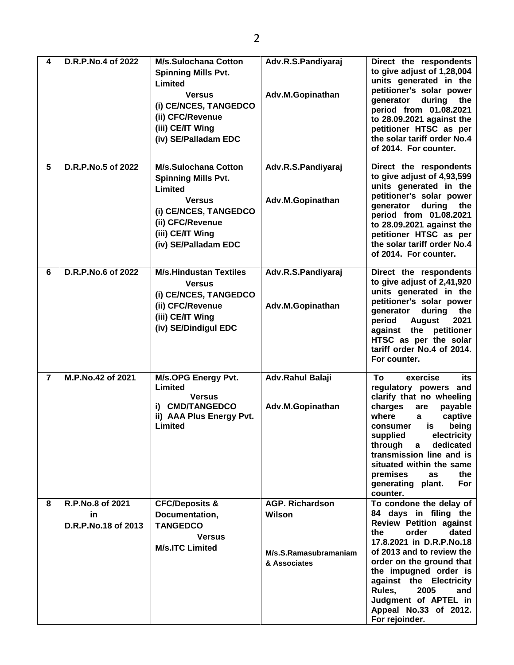| 4              | D.R.P.No.4 of 2022                            | <b>M/s.Sulochana Cotton</b><br><b>Spinning Mills Pvt.</b><br>Limited<br><b>Versus</b><br>(i) CE/NCES, TANGEDCO<br>(ii) CFC/Revenue<br>(iii) CE/IT Wing<br>(iv) SE/Palladam EDC | Adv.R.S.Pandiyaraj<br>Adv.M.Gopinathan                                           | Direct the respondents<br>to give adjust of 1,28,004<br>units generated in the<br>petitioner's solar power<br>during<br>generator<br>the<br>period from 01.08.2021<br>to 28.09.2021 against the<br>petitioner HTSC as per<br>the solar tariff order No.4<br>of 2014. For counter.                                                                |
|----------------|-----------------------------------------------|--------------------------------------------------------------------------------------------------------------------------------------------------------------------------------|----------------------------------------------------------------------------------|--------------------------------------------------------------------------------------------------------------------------------------------------------------------------------------------------------------------------------------------------------------------------------------------------------------------------------------------------|
| 5              | D.R.P.No.5 of 2022                            | <b>M/s.Sulochana Cotton</b><br><b>Spinning Mills Pvt.</b><br>Limited<br><b>Versus</b><br>(i) CE/NCES, TANGEDCO<br>(ii) CFC/Revenue<br>(iii) CE/IT Wing<br>(iv) SE/Palladam EDC | Adv.R.S.Pandiyaraj<br>Adv.M.Gopinathan                                           | Direct the respondents<br>to give adjust of 4,93,599<br>units generated in the<br>petitioner's solar power<br>generator<br>during<br>the<br>period from 01.08.2021<br>to 28.09.2021 against the<br>petitioner HTSC as per<br>the solar tariff order No.4<br>of 2014. For counter.                                                                |
| 6              | D.R.P.No.6 of 2022                            | <b>M/s.Hindustan Textiles</b><br><b>Versus</b><br>(i) CE/NCES, TANGEDCO<br>(ii) CFC/Revenue<br>(iii) CE/IT Wing<br>(iv) SE/Dindigul EDC                                        | Adv.R.S.Pandiyaraj<br>Adv.M.Gopinathan                                           | Direct the respondents<br>to give adjust of 2,41,920<br>units generated in the<br>petitioner's solar power<br>generator<br>during<br>the<br>period<br><b>August</b><br>2021<br>against the petitioner<br>HTSC as per the solar<br>tariff order No.4 of 2014.<br>For counter.                                                                     |
| $\overline{7}$ | M.P.No.42 of 2021                             | M/s.OPG Energy Pvt.<br>Limited<br><b>Versus</b><br>i) CMD/TANGEDCO<br>ii) AAA Plus Energy Pvt.<br>Limited                                                                      | Adv.Rahul Balaji<br>Adv.M.Gopinathan                                             | To<br>exercise<br>its<br>regulatory powers and<br>clarify that no wheeling<br>charges<br>are<br>payable<br>where<br>captive<br>a<br>is<br>being<br>consumer<br>supplied<br>electricity<br>through<br>dedicated<br>a<br>transmission line and is<br>situated within the same<br>premises<br>the<br>as<br>generating plant.<br>For<br>counter.     |
| 8              | R.P.No.8 of 2021<br>in<br>D.R.P.No.18 of 2013 | <b>CFC/Deposits &amp;</b><br>Documentation,<br><b>TANGEDCO</b><br><b>Versus</b><br><b>M/s.ITC Limited</b>                                                                      | <b>AGP. Richardson</b><br><b>Wilson</b><br>M/s.S.Ramasubramaniam<br>& Associates | To condone the delay of<br>84 days in filing the<br><b>Review Petition against</b><br>dated<br>order<br>the<br>17.8.2021 in D.R.P.No.18<br>of 2013 and to review the<br>order on the ground that<br>the impugned order is<br>against the Electricity<br>Rules,<br>2005<br>and<br>Judgment of APTEL in<br>Appeal No.33 of 2012.<br>For rejoinder. |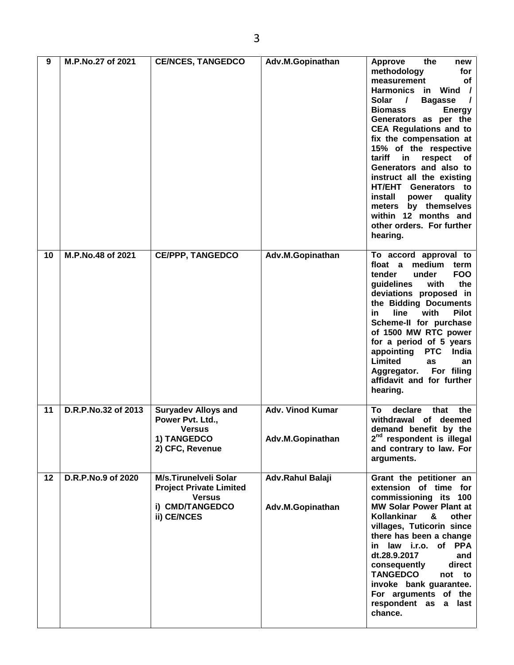| 9  | M.P.No.27 of 2021   | <b>CE/NCES, TANGEDCO</b>                                                                                          | Adv.M.Gopinathan                            | <b>Approve</b><br>the<br>new<br>methodology<br>for<br>measurement<br>οf<br><b>Harmonics</b><br>Wind /<br>in<br>Solar<br><b>Bagasse</b><br>$\prime$<br>$\prime$<br><b>Biomass</b><br><b>Energy</b><br>Generators as per the<br><b>CEA Regulations and to</b><br>fix the compensation at<br>15% of the respective<br>tariff<br>in<br>respect<br>of<br>Generators and also to<br>instruct all the existing<br>HT/EHT Generators to<br>install<br>quality<br>power<br>by themselves<br>meters<br>within 12 months and<br>other orders. For further<br>hearing. |
|----|---------------------|-------------------------------------------------------------------------------------------------------------------|---------------------------------------------|------------------------------------------------------------------------------------------------------------------------------------------------------------------------------------------------------------------------------------------------------------------------------------------------------------------------------------------------------------------------------------------------------------------------------------------------------------------------------------------------------------------------------------------------------------|
| 10 | M.P.No.48 of 2021   | <b>CE/PPP, TANGEDCO</b>                                                                                           | Adv.M.Gopinathan                            | To accord approval to<br>float a<br>medium<br>term<br>tender<br>under<br><b>FOO</b><br>with<br>the<br>guidelines<br>deviations proposed in<br>the Bidding Documents<br>line<br>with<br><b>Pilot</b><br>in.<br>Scheme-II for purchase<br>of 1500 MW RTC power<br>for a period of 5 years<br>appointing<br><b>PTC</b><br>India<br>Limited<br>as<br>an<br>For filing<br>Aggregator.<br>affidavit and for further<br>hearing.                                                                                                                                  |
| 11 | D.R.P.No.32 of 2013 | <b>Suryadev Alloys and</b><br>Power Pvt. Ltd.,<br><b>Versus</b><br>1) TANGEDCO<br>2) CFC, Revenue                 | <b>Adv. Vinod Kumar</b><br>Adv.M.Gopinathan | Τo<br>declare<br>that<br>the<br>withdrawal of deemed<br>demand benefit by the<br>2 <sup>nd</sup> respondent is illegal<br>and contrary to law. For<br>arguments.                                                                                                                                                                                                                                                                                                                                                                                           |
| 12 | D.R.P.No.9 of 2020  | <b>M/s.Tirunelveli Solar</b><br><b>Project Private Limited</b><br><b>Versus</b><br>i) CMD/TANGEDCO<br>ii) CE/NCES | Adv.Rahul Balaji<br>Adv.M.Gopinathan        | Grant the petitioner an<br>extension of time for<br>commissioning its 100<br><b>MW Solar Power Plant at</b><br><b>Kollankinar</b><br>other<br>&<br>villages, Tuticorin since<br>there has been a change<br>in law i.r.o. of PPA<br>dt.28.9.2017<br>and<br>direct<br>consequently<br><b>TANGEDCO</b><br>not to<br>invoke bank guarantee.<br>For arguments of the<br>respondent as a<br>last<br>chance.                                                                                                                                                      |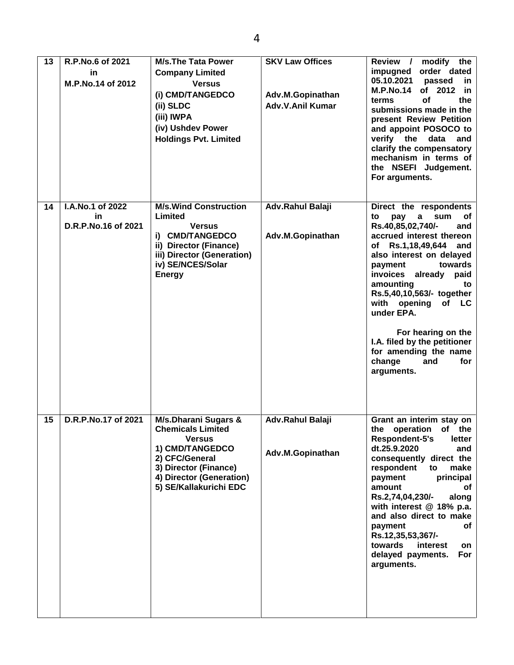| 13 | R.P.No.6 of 2021<br>in<br>M.P.No.14 of 2012    | <b>M/s.The Tata Power</b><br><b>Company Limited</b><br><b>Versus</b><br>(i) CMD/TANGEDCO<br>(ii) SLDC<br>(iii) IWPA<br>(iv) Ushdev Power<br><b>Holdings Pvt. Limited</b>                         | <b>SKV Law Offices</b><br>Adv.M.Gopinathan<br><b>Adv.V.Anil Kumar</b> | Review /<br>modify the<br>order dated<br>impugned<br>05.10.2021<br>passed<br>in.<br><b>M.P.No.14</b><br>of 2012<br>in.<br>the<br>terms<br>οf<br>submissions made in the<br>present Review Petition<br>and appoint POSOCO to<br>verify the data<br>and<br>clarify the compensatory<br>mechanism in terms of<br>the NSEFI Judgement.<br>For arguments.                                                                          |
|----|------------------------------------------------|--------------------------------------------------------------------------------------------------------------------------------------------------------------------------------------------------|-----------------------------------------------------------------------|-------------------------------------------------------------------------------------------------------------------------------------------------------------------------------------------------------------------------------------------------------------------------------------------------------------------------------------------------------------------------------------------------------------------------------|
| 14 | I.A.No.1 of 2022<br>in.<br>D.R.P.No.16 of 2021 | <b>M/s. Wind Construction</b><br>Limited<br><b>Versus</b><br>i) CMD/TANGEDCO<br>ii) Director (Finance)<br>iii) Director (Generation)<br>iv) SE/NCES/Solar<br><b>Energy</b>                       | Adv.Rahul Balaji<br>Adv.M.Gopinathan                                  | Direct the respondents<br>sum<br>οf<br>to<br>pay<br>a<br>Rs.40,85,02,740/-<br>and<br>accrued interest thereon<br>of Rs.1,18,49,644 and<br>also interest on delayed<br>towards<br>payment<br>invoices already paid<br>amounting<br>to<br>Rs.5,40,10,563/- together<br>with opening<br>of LC<br>under EPA.<br>For hearing on the<br>I.A. filed by the petitioner<br>for amending the name<br>change<br>and<br>for<br>arguments. |
| 15 | D.R.P.No.17 of 2021                            | <b>M/s.Dharani Sugars &amp;</b><br><b>Chemicals Limited</b><br><b>Versus</b><br>1) CMD/TANGEDCO<br>2) CFC/General<br>3) Director (Finance)<br>4) Director (Generation)<br>5) SE/Kallakurichi EDC | Adv.Rahul Balaji<br>Adv.M.Gopinathan                                  | Grant an interim stay on<br>the operation of the<br>Respondent-5's<br>letter<br>dt.25.9.2020<br>and<br>consequently direct the<br>respondent<br>to<br>make<br>principal<br>payment<br>amount<br>оf<br>Rs.2,74,04,230/-<br>along<br>with interest @ 18% p.a.<br>and also direct to make<br>payment<br>оf<br>Rs.12,35,53,367/-<br>towards<br>interest<br>on<br>delayed payments.<br>For<br>arguments.                           |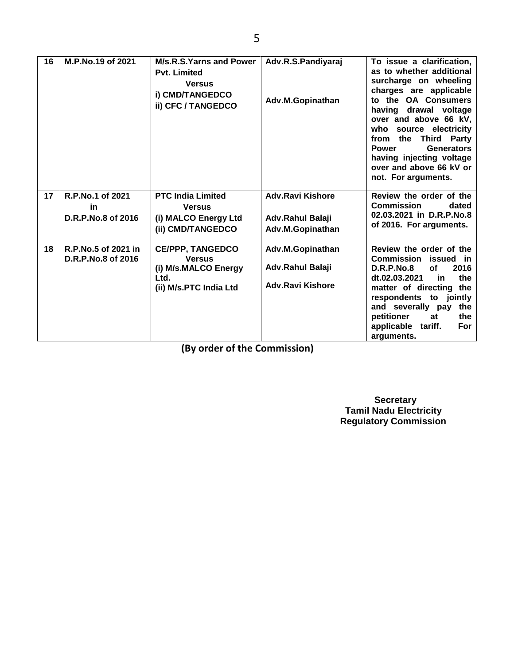| 16 | M.P.No.19 of 2021                         | M/s.R.S.Yarns and Power<br><b>Pvt. Limited</b><br><b>Versus</b><br>i) CMD/TANGEDCO<br>ii) CFC / TANGEDCO | Adv.R.S.Pandiyaraj<br>Adv.M.Gopinathan | To issue a clarification,<br>as to whether additional<br>surcharge on wheeling<br>charges are applicable<br>to the OA Consumers<br>having drawal voltage<br>over and above 66 kV,<br>who source electricity<br>from the Third Party<br><b>Power</b><br>Generators<br>having injecting voltage<br>over and above 66 kV or<br>not. For arguments. |
|----|-------------------------------------------|----------------------------------------------------------------------------------------------------------|----------------------------------------|-------------------------------------------------------------------------------------------------------------------------------------------------------------------------------------------------------------------------------------------------------------------------------------------------------------------------------------------------|
| 17 | R.P.No.1 of 2021<br><b>in</b>             | <b>PTC India Limited</b><br><b>Versus</b>                                                                | <b>Adv.Ravi Kishore</b>                | Review the order of the<br><b>Commission</b><br>dated                                                                                                                                                                                                                                                                                           |
|    | D.R.P.No.8 of 2016                        | (i) MALCO Energy Ltd<br>(ii) CMD/TANGEDCO                                                                | Adv.Rahul Balaji<br>Adv.M.Gopinathan   | 02.03.2021 in D.R.P.No.8<br>of 2016. For arguments.                                                                                                                                                                                                                                                                                             |
| 18 | R.P.No.5 of 2021 in<br>D.R.P.No.8 of 2016 | <b>CE/PPP, TANGEDCO</b><br><b>Versus</b>                                                                 | Adv.M.Gopinathan                       | Review the order of the<br>Commission<br>issued in                                                                                                                                                                                                                                                                                              |
|    |                                           | (i) M/s.MALCO Energy<br>Ltd.                                                                             | Adv.Rahul Balaji                       | 2016<br>D.R.P.No.8<br><b>of</b><br>dt.02.03.2021<br>the<br>in                                                                                                                                                                                                                                                                                   |
|    |                                           | (ii) M/s.PTC India Ltd                                                                                   | <b>Adv.Ravi Kishore</b>                | matter of directing the                                                                                                                                                                                                                                                                                                                         |
|    |                                           |                                                                                                          |                                        | respondents to jointly<br>and severally pay<br>the                                                                                                                                                                                                                                                                                              |
|    |                                           |                                                                                                          |                                        | petitioner<br>the<br>at<br>applicable tariff.<br>For                                                                                                                                                                                                                                                                                            |
|    |                                           |                                                                                                          |                                        | arguments.                                                                                                                                                                                                                                                                                                                                      |

**(By order of the Commission)**

 **Secretary Tamil Nadu Electricity Regulatory Commission**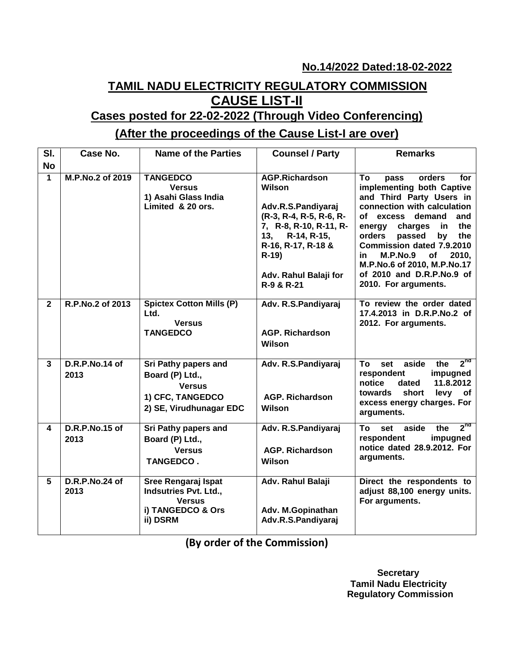**No.14/2022 Dated:18-02-2022**

# **TAMIL NADU ELECTRICITY REGULATORY COMMISSION CAUSE LIST-II**

# **Cases posted for 22-02-2022 (Through Video Conferencing)**

# **(After the proceedings of the Cause List-I are over)**

| SI.            | Case No.               | <b>Name of the Parties</b>                                                                              | <b>Counsel / Party</b>                                                                                                                                                                                  | <b>Remarks</b>                                                                                                                                                                                                                                                                                                                                                              |
|----------------|------------------------|---------------------------------------------------------------------------------------------------------|---------------------------------------------------------------------------------------------------------------------------------------------------------------------------------------------------------|-----------------------------------------------------------------------------------------------------------------------------------------------------------------------------------------------------------------------------------------------------------------------------------------------------------------------------------------------------------------------------|
| <b>No</b>      |                        |                                                                                                         |                                                                                                                                                                                                         |                                                                                                                                                                                                                                                                                                                                                                             |
| 1              | M.P.No.2 of 2019       | <b>TANGEDCO</b><br><b>Versus</b><br>1) Asahi Glass India<br>Limited & 20 ors.                           | <b>AGP.Richardson</b><br>Wilson<br>Adv.R.S.Pandiyaraj<br>(R-3, R-4, R-5, R-6, R-<br>7, R-8, R-10, R-11, R-<br>R-14, R-15,<br>13.<br>R-16, R-17, R-18 &<br>$R-19$<br>Adv. Rahul Balaji for<br>R-9 & R-21 | To<br>orders<br>for<br>pass<br>implementing both Captive<br>and Third Party Users in<br>connection with calculation<br>of excess demand<br>and<br>charges<br>the<br>energy<br>in.<br>passed<br>orders<br>by<br>the<br>Commission dated 7.9.2010<br>M.P.No.9<br><b>of</b><br>2010,<br>in<br>M.P.No.6 of 2010, M.P.No.17<br>of 2010 and D.R.P.No.9 of<br>2010. For arguments. |
| $\overline{2}$ | R.P.No.2 of 2013       | <b>Spictex Cotton Mills (P)</b><br>Ltd.<br><b>Versus</b><br><b>TANGEDCO</b>                             | Adv. R.S.Pandiyaraj<br><b>AGP. Richardson</b><br><b>Wilson</b>                                                                                                                                          | To review the order dated<br>17.4.2013 in D.R.P.No.2 of<br>2012. For arguments.                                                                                                                                                                                                                                                                                             |
| 3              | D.R.P.No.14 of<br>2013 | Sri Pathy papers and<br>Board (P) Ltd.,<br><b>Versus</b><br>1) CFC, TANGEDCO<br>2) SE, Virudhunagar EDC | Adv. R.S.Pandiyaraj<br><b>AGP. Richardson</b><br>Wilson                                                                                                                                                 | $2^{n\sigma}$<br>To<br>aside<br>set<br>the<br>respondent<br>impugned<br>11.8.2012<br>notice<br>dated<br>short<br>levy<br>towards<br>of<br>excess energy charges. For<br>arguments.                                                                                                                                                                                          |
| 4              | D.R.P.No.15 of<br>2013 | Sri Pathy papers and<br>Board (P) Ltd.,<br><b>Versus</b><br><b>TANGEDCO.</b>                            | Adv. R.S.Pandiyaraj<br><b>AGP. Richardson</b><br>Wilson                                                                                                                                                 | 2 <sup>nd</sup><br><b>To</b><br>set aside<br>the<br>respondent<br>impugned<br>notice dated 28.9.2012. For<br>arguments.                                                                                                                                                                                                                                                     |
| 5              | D.R.P.No.24 of<br>2013 | Sree Rengaraj Ispat<br><b>Indsutries Pvt. Ltd.,</b><br><b>Versus</b><br>i) TANGEDCO & Ors<br>ii) DSRM   | Adv. Rahul Balaji<br>Adv. M.Gopinathan<br>Adv.R.S.Pandiyaraj                                                                                                                                            | Direct the respondents to<br>adjust 88,100 energy units.<br>For arguments.                                                                                                                                                                                                                                                                                                  |

**(By order of the Commission)**

 **Secretary Tamil Nadu Electricity Regulatory Commission**